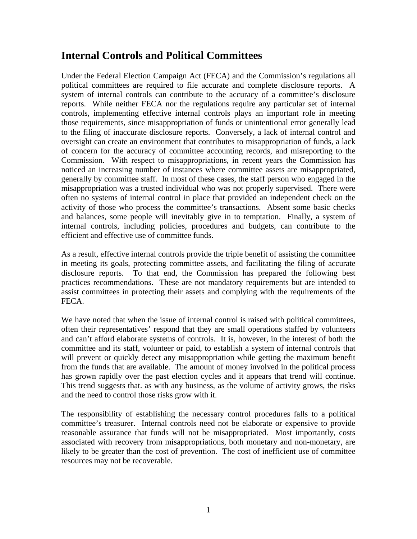# **Internal Controls and Political Committees**

Under the Federal Election Campaign Act (FECA) and the Commission's regulations all political committees are required to file accurate and complete disclosure reports. A system of internal controls can contribute to the accuracy of a committee's disclosure reports. While neither FECA nor the regulations require any particular set of internal controls, implementing effective internal controls plays an important role in meeting those requirements, since misappropriation of funds or unintentional error generally lead to the filing of inaccurate disclosure reports. Conversely, a lack of internal control and oversight can create an environment that contributes to misappropriation of funds, a lack of concern for the accuracy of committee accounting records, and misreporting to the Commission. With respect to misappropriations, in recent years the Commission has noticed an increasing number of instances where committee assets are misappropriated, generally by committee staff. In most of these cases, the staff person who engaged in the misappropriation was a trusted individual who was not properly supervised. There were often no systems of internal control in place that provided an independent check on the activity of those who process the committee's transactions. Absent some basic checks and balances, some people will inevitably give in to temptation. Finally, a system of internal controls, including policies, procedures and budgets, can contribute to the efficient and effective use of committee funds.

As a result, effective internal controls provide the triple benefit of assisting the committee in meeting its goals, protecting committee assets, and facilitating the filing of accurate disclosure reports. To that end, the Commission has prepared the following best practices recommendations. These are not mandatory requirements but are intended to assist committees in protecting their assets and complying with the requirements of the FECA.

We have noted that when the issue of internal control is raised with political committees, often their representatives' respond that they are small operations staffed by volunteers and can't afford elaborate systems of controls. It is, however, in the interest of both the committee and its staff, volunteer or paid, to establish a system of internal controls that will prevent or quickly detect any misappropriation while getting the maximum benefit from the funds that are available. The amount of money involved in the political process has grown rapidly over the past election cycles and it appears that trend will continue. This trend suggests that. as with any business, as the volume of activity grows, the risks and the need to control those risks grow with it.

The responsibility of establishing the necessary control procedures falls to a political committee's treasurer. Internal controls need not be elaborate or expensive to provide reasonable assurance that funds will not be misappropriated. Most importantly, costs associated with recovery from misappropriations, both monetary and non-monetary, are likely to be greater than the cost of prevention. The cost of inefficient use of committee resources may not be recoverable.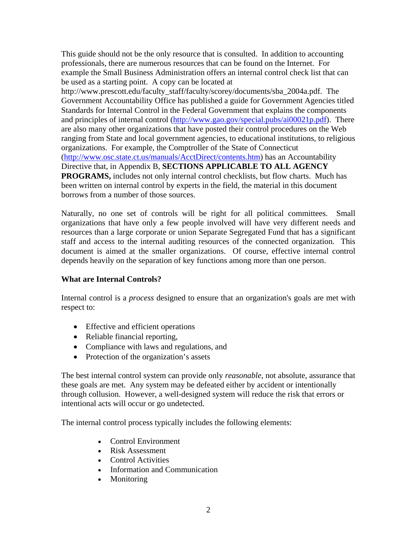This guide should not be the only resource that is consulted. In addition to accounting professionals, there are numerous resources that can be found on the Internet. For example the Small Business Administration offers an internal control check list that can be used as a starting point. A copy can be located at http://www.prescott.edu/faculty\_staff/faculty/scorey/documents/sba\_2004a.pdf. The Government Accountability Office has published a guide for Government Agencies titled Standards for Internal Control in the Federal Government that explains the components and principles of internal control [\(http://www.gao.gov/special.pubs/ai00021p.pdf\)](http://www.gao.gov/special.pubs/ai00021p.pdf). There are also many other organizations that have posted their control procedures on the Web ranging from State and local government agencies, to educational institutions, to religious organizations. For example, the Comptroller of the State of Connecticut (<http://www.osc.state.ct.us/manuals/AcctDirect/contents.htm>) has an Accountability Directive that, in Appendix B, **SECTIONS APPLICABLE TO ALL AGENCY PROGRAMS,** includes not only internal control checklists, but flow charts. Much has been written on internal control by experts in the field, the material in this document borrows from a number of those sources.

Naturally, no one set of controls will be right for all political committees. Small organizations that have only a few people involved will have very different needs and resources than a large corporate or union Separate Segregated Fund that has a significant staff and access to the internal auditing resources of the connected organization. This document is aimed at the smaller organizations. Of course, effective internal control depends heavily on the separation of key functions among more than one person.

## **What are Internal Controls?**

Internal control is a *process* designed to ensure that an organization's goals are met with respect to:

- Effective and efficient operations
- Reliable financial reporting,
- Compliance with laws and regulations, and
- Protection of the organization's assets

The best internal control system can provide only *reasonable*, not absolute, assurance that these goals are met. Any system may be defeated either by accident or intentionally through collusion. However, a well-designed system will reduce the risk that errors or intentional acts will occur or go undetected.

The internal control process typically includes the following elements:

- Control Environment
- Risk Assessment
- Control Activities
- Information and Communication
- Monitoring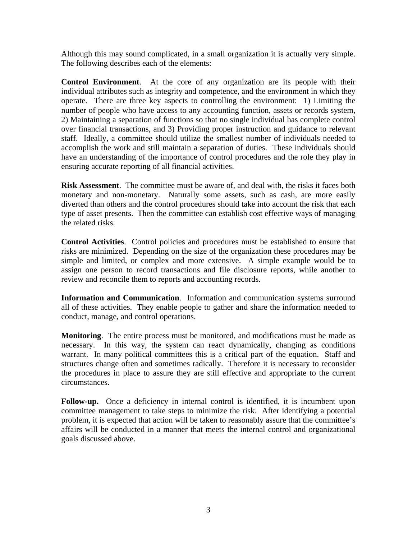Although this may sound complicated, in a small organization it is actually very simple. The following describes each of the elements:

**Control Environment**. At the core of any organization are its people with their individual attributes such as integrity and competence, and the environment in which they operate. There are three key aspects to controlling the environment: 1) Limiting the number of people who have access to any accounting function, assets or records system, 2) Maintaining a separation of functions so that no single individual has complete control over financial transactions, and 3) Providing proper instruction and guidance to relevant staff. Ideally, a committee should utilize the smallest number of individuals needed to accomplish the work and still maintain a separation of duties. These individuals should have an understanding of the importance of control procedures and the role they play in ensuring accurate reporting of all financial activities.

**Risk Assessment**. The committee must be aware of, and deal with, the risks it faces both monetary and non-monetary. Naturally some assets, such as cash, are more easily diverted than others and the control procedures should take into account the risk that each type of asset presents. Then the committee can establish cost effective ways of managing the related risks.

**Control Activities**. Control policies and procedures must be established to ensure that risks are minimized. Depending on the size of the organization these procedures may be simple and limited, or complex and more extensive. A simple example would be to assign one person to record transactions and file disclosure reports, while another to review and reconcile them to reports and accounting records.

**Information and Communication**. Information and communication systems surround all of these activities. They enable people to gather and share the information needed to conduct, manage, and control operations.

**Monitoring**. The entire process must be monitored, and modifications must be made as necessary. In this way, the system can react dynamically, changing as conditions warrant. In many political committees this is a critical part of the equation. Staff and structures change often and sometimes radically. Therefore it is necessary to reconsider the procedures in place to assure they are still effective and appropriate to the current circumstances.

Follow-up. Once a deficiency in internal control is identified, it is incumbent upon committee management to take steps to minimize the risk. After identifying a potential problem, it is expected that action will be taken to reasonably assure that the committee's affairs will be conducted in a manner that meets the internal control and organizational goals discussed above.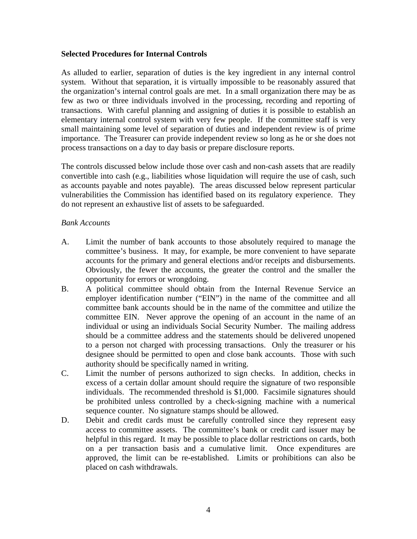#### **Selected Procedures for Internal Controls**

As alluded to earlier, separation of duties is the key ingredient in any internal control system. Without that separation, it is virtually impossible to be reasonably assured that the organization's internal control goals are met. In a small organization there may be as few as two or three individuals involved in the processing, recording and reporting of transactions. With careful planning and assigning of duties it is possible to establish an elementary internal control system with very few people. If the committee staff is very small maintaining some level of separation of duties and independent review is of prime importance. The Treasurer can provide independent review so long as he or she does not process transactions on a day to day basis or prepare disclosure reports.

The controls discussed below include those over cash and non-cash assets that are readily convertible into cash (e.g., liabilities whose liquidation will require the use of cash, such as accounts payable and notes payable). The areas discussed below represent particular vulnerabilities the Commission has identified based on its regulatory experience. They do not represent an exhaustive list of assets to be safeguarded.

#### *Bank Accounts*

- A. Limit the number of bank accounts to those absolutely required to manage the committee's business. It may, for example, be more convenient to have separate accounts for the primary and general elections and/or receipts and disbursements. Obviously, the fewer the accounts, the greater the control and the smaller the opportunity for errors or wrongdoing.
- B. A political committee should obtain from the Internal Revenue Service an employer identification number ("EIN") in the name of the committee and all committee bank accounts should be in the name of the committee and utilize the committee EIN. Never approve the opening of an account in the name of an individual or using an individuals Social Security Number. The mailing address should be a committee address and the statements should be delivered unopened to a person not charged with processing transactions. Only the treasurer or his designee should be permitted to open and close bank accounts. Those with such authority should be specifically named in writing.
- C. Limit the number of persons authorized to sign checks. In addition, checks in excess of a certain dollar amount should require the signature of two responsible individuals. The recommended threshold is \$1,000. Facsimile signatures should be prohibited unless controlled by a check-signing machine with a numerical sequence counter. No signature stamps should be allowed.
- D. Debit and credit cards must be carefully controlled since they represent easy access to committee assets. The committee's bank or credit card issuer may be helpful in this regard. It may be possible to place dollar restrictions on cards, both on a per transaction basis and a cumulative limit. Once expenditures are approved, the limit can be re-established. Limits or prohibitions can also be placed on cash withdrawals.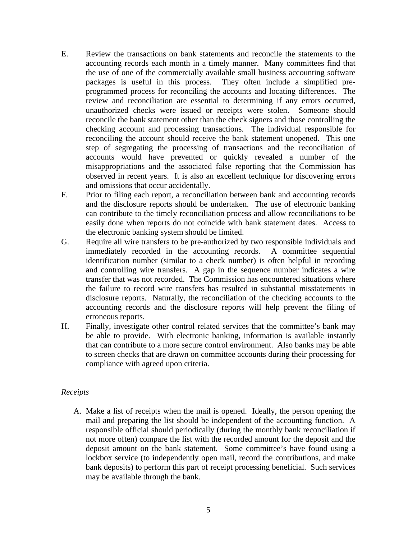- E. Review the transactions on bank statements and reconcile the statements to the accounting records each month in a timely manner. Many committees find that the use of one of the commercially available small business accounting software packages is useful in this process. They often include a simplified preprogrammed process for reconciling the accounts and locating differences. The review and reconciliation are essential to determining if any errors occurred, unauthorized checks were issued or receipts were stolen. Someone should reconcile the bank statement other than the check signers and those controlling the checking account and processing transactions. The individual responsible for reconciling the account should receive the bank statement unopened. This one step of segregating the processing of transactions and the reconciliation of accounts would have prevented or quickly revealed a number of the misappropriations and the associated false reporting that the Commission has observed in recent years. It is also an excellent technique for discovering errors and omissions that occur accidentally.
- F. Prior to filing each report, a reconciliation between bank and accounting records and the disclosure reports should be undertaken. The use of electronic banking can contribute to the timely reconciliation process and allow reconciliations to be easily done when reports do not coincide with bank statement dates. Access to the electronic banking system should be limited.
- G. Require all wire transfers to be pre-authorized by two responsible individuals and immediately recorded in the accounting records. A committee sequential identification number (similar to a check number) is often helpful in recording and controlling wire transfers. A gap in the sequence number indicates a wire transfer that was not recorded. The Commission has encountered situations where the failure to record wire transfers has resulted in substantial misstatements in disclosure reports. Naturally, the reconciliation of the checking accounts to the accounting records and the disclosure reports will help prevent the filing of erroneous reports.
- H. Finally, investigate other control related services that the committee's bank may be able to provide. With electronic banking, information is available instantly that can contribute to a more secure control environment. Also banks may be able to screen checks that are drawn on committee accounts during their processing for compliance with agreed upon criteria.

## *Receipts*

A. Make a list of receipts when the mail is opened. Ideally, the person opening the mail and preparing the list should be independent of the accounting function. A responsible official should periodically (during the monthly bank reconciliation if not more often) compare the list with the recorded amount for the deposit and the deposit amount on the bank statement. Some committee's have found using a lockbox service (to independently open mail, record the contributions, and make bank deposits) to perform this part of receipt processing beneficial. Such services may be available through the bank.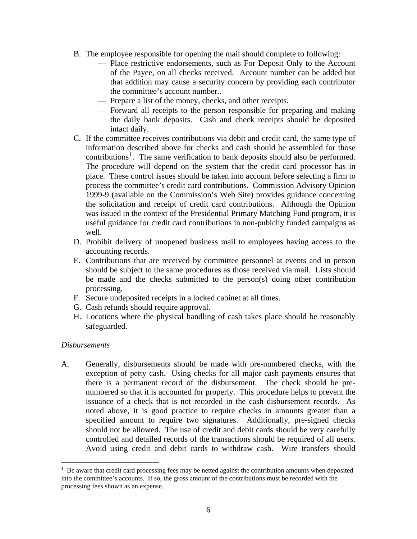- B. The employee responsible for opening the mail should complete to following:
	- Place restrictive endorsements, such as For Deposit Only to the Account of the Payee, on all checks received. Account number can be added but that addition may cause a security concern by providing each contributor the committee's account number..
	- Prepare a list of the money, checks, and other receipts.
	- Forward all receipts to the person responsible for preparing and making the daily bank deposits. Cash and check receipts should be deposited intact daily.
- C. If the committee receives contributions via debit and credit card, the same type of information described above for checks and cash should be assembled for those contributions<sup>[1](#page-5-0)</sup>. The same verification to bank deposits should also be performed. The procedure will depend on the system that the credit card processor has in place. These control issues should be taken into account before selecting a firm to process the committee's credit card contributions. Commission Advisory Opinion 1999-9 (available on the Commission's Web Site) provides guidance concerning the solicitation and receipt of credit card contributions. Although the Opinion was issued in the context of the Presidential Primary Matching Fund program, it is useful guidance for credit card contributions in non-pubicliy funded campaigns as well.
- D. Prohibit delivery of unopened business mail to employees having access to the accounting records.
- E. Contributions that are received by committee personnel at events and in person should be subject to the same procedures as those received via mail. Lists should be made and the checks submitted to the person(s) doing other contribution processing.
- F. Secure undeposited receipts in a locked cabinet at all times.
- G. Cash refunds should require approval.
- H. Locations where the physical handling of cash takes place should be reasonably safeguarded.

#### *Disbursements*

 $\overline{a}$ 

A. Generally, disbursements should be made with pre-numbered checks, with the exception of petty cash. Using checks for all major cash payments ensures that there is a permanent record of the disbursement. The check should be prenumbered so that it is accounted for properly. This procedure helps to prevent the issuance of a check that is not recorded in the cash disbursement records. As noted above, it is good practice to require checks in amounts greater than a specified amount to require two signatures. Additionally, pre-signed checks should not be allowed. The use of credit and debit cards should be very carefully controlled and detailed records of the transactions should be required of all users. Avoid using credit and debit cards to withdraw cash. Wire transfers should

<span id="page-5-0"></span> $1$  Be aware that credit card processing fees may be netted against the contribution amounts when deposited into the committee's accounts. If so, the gross amount of the contributions must be recorded with the processing fees shown as an expense.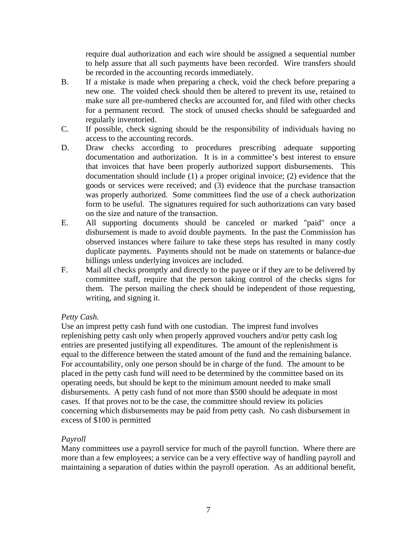require dual authorization and each wire should be assigned a sequential number to help assure that all such payments have been recorded. Wire transfers should be recorded in the accounting records immediately.

- B. If a mistake is made when preparing a check, void the check before preparing a new one. The voided check should then be altered to prevent its use, retained to make sure all pre-numbered checks are accounted for, and filed with other checks for a permanent record. The stock of unused checks should be safeguarded and regularly inventoried.
- C. If possible, check signing should be the responsibility of individuals having no access to the accounting records.
- D. Draw checks according to procedures prescribing adequate supporting documentation and authorization. It is in a committee's best interest to ensure that invoices that have been properly authorized support disbursements. This documentation should include (1) a proper original invoice; (2) evidence that the goods or services were received; and (3) evidence that the purchase transaction was properly authorized. Some committees find the use of a check authorization form to be useful. The signatures required for such authorizations can vary based on the size and nature of the transaction.
- E. All supporting documents should be canceled or marked "paid" once a disbursement is made to avoid double payments. In the past the Commission has observed instances where failure to take these steps has resulted in many costly duplicate payments. Payments should not be made on statements or balance-due billings unless underlying invoices are included.
- F. Mail all checks promptly and directly to the payee or if they are to be delivered by committee staff, require that the person taking control of the checks signs for them. The person mailing the check should be independent of those requesting, writing, and signing it.

## *Petty Cash.*

Use an imprest petty cash fund with one custodian. The imprest fund involves replenishing petty cash only when properly approved vouchers and/or petty cash log entries are presented justifying all expenditures. The amount of the replenishment is equal to the difference between the stated amount of the fund and the remaining balance. For accountability, only one person should be in charge of the fund. The amount to be placed in the petty cash fund will need to be determined by the committee based on its operating needs, but should be kept to the minimum amount needed to make small disbursements. A petty cash fund of not more than \$500 should be adequate in most cases. If that proves not to be the case, the committee should review its policies concerning which disbursements may be paid from petty cash. No cash disbursement in excess of \$100 is permitted

## *Payroll*

Many committees use a payroll service for much of the payroll function. Where there are more than a few employees; a service can be a very effective way of handling payroll and maintaining a separation of duties within the payroll operation. As an additional benefit,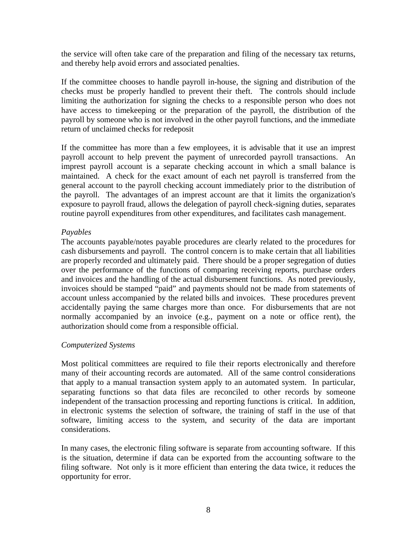the service will often take care of the preparation and filing of the necessary tax returns, and thereby help avoid errors and associated penalties.

If the committee chooses to handle payroll in-house, the signing and distribution of the checks must be properly handled to prevent their theft. The controls should include limiting the authorization for signing the checks to a responsible person who does not have access to timekeeping or the preparation of the payroll, the distribution of the payroll by someone who is not involved in the other payroll functions, and the immediate return of unclaimed checks for redeposit

If the committee has more than a few employees, it is advisable that it use an imprest payroll account to help prevent the payment of unrecorded payroll transactions. An imprest payroll account is a separate checking account in which a small balance is maintained. A check for the exact amount of each net payroll is transferred from the general account to the payroll checking account immediately prior to the distribution of the payroll. The advantages of an imprest account are that it limits the organization's exposure to payroll fraud, allows the delegation of payroll check-signing duties, separates routine payroll expenditures from other expenditures, and facilitates cash management.

#### *Payables*

The accounts payable/notes payable procedures are clearly related to the procedures for cash disbursements and payroll. The control concern is to make certain that all liabilities are properly recorded and ultimately paid. There should be a proper segregation of duties over the performance of the functions of comparing receiving reports, purchase orders and invoices and the handling of the actual disbursement functions. As noted previously, invoices should be stamped "paid" and payments should not be made from statements of account unless accompanied by the related bills and invoices. These procedures prevent accidentally paying the same charges more than once. For disbursements that are not normally accompanied by an invoice (e.g., payment on a note or office rent), the authorization should come from a responsible official.

#### *Computerized Systems*

Most political committees are required to file their reports electronically and therefore many of their accounting records are automated. All of the same control considerations that apply to a manual transaction system apply to an automated system. In particular, separating functions so that data files are reconciled to other records by someone independent of the transaction processing and reporting functions is critical. In addition, in electronic systems the selection of software, the training of staff in the use of that software, limiting access to the system, and security of the data are important considerations.

In many cases, the electronic filing software is separate from accounting software. If this is the situation, determine if data can be exported from the accounting software to the filing software. Not only is it more efficient than entering the data twice, it reduces the opportunity for error.